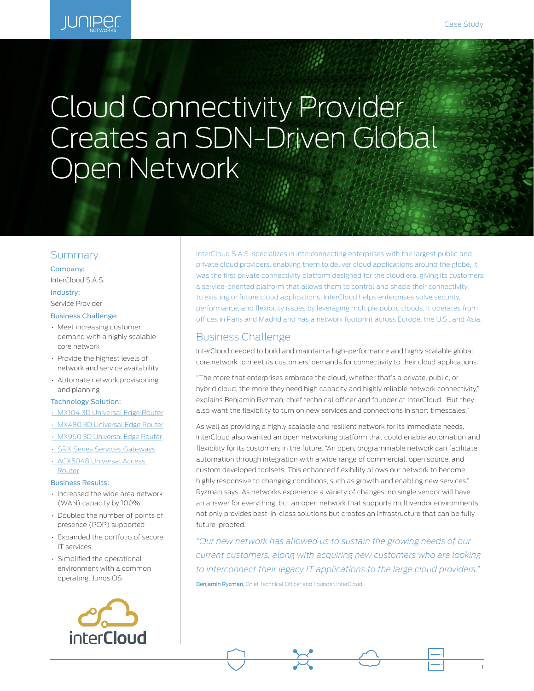1

# **JUNIPER**

# Cloud Connectivity Provider Creates an SDN-Driven Global Open Network

## Summary

Company: InterCloud S.A.S.

#### Industry:

Service Provider

#### Business Challenge:

- Meet increasing customer demand with a highly scalable core network
- Provide the highest levels of network and service availability
- Automate network provisioning and planning

#### Technology Solution:

- [MX104 3D Universal Edge Router](http://www.juniper.net/us/en/products-services/routing/mx-series/mx104/)
- [MX480 3D Universal Edge Router](https://www.juniper.net/us/en/products-services/routing/mx-series/mx480/)
- [MX960 3D Universal Edge Router](https://www.juniper.net/us/en/products-services/routing/mx-series)
- [SRX Series Services Gateways](https://www.juniper.net/us/en/products-services/security/srx-series/) • [ACX5048 Universal Access](http://www.juniper.net/us/en/products-services/routing/acx-series/acx5000/)  [Router](http://www.juniper.net/us/en/products-services/routing/acx-series/acx5000/)

#### Business Results:

- Increased the wide area network (WAN) capacity by 100%
- Doubled the number of points of presence (POP) supported
- Expanded the portfolio of secure IT services
- Simplified the operational environment with a common operating, Junos OS



InterCloud S.A.S. specializes in interconnecting enterprises with the largest public and private cloud providers, enabling them to deliver cloud applications around the globe. It was the first private connectivity platform designed for the cloud era, giving its customers a service-oriented platform that allows them to control and shape their connectivity to existing or future cloud applications. InterCloud helps enterprises solve security, performance, and flexibility issues by leveraging multiple public clouds. It operates from offices in Paris and Madrid and has a network footprint across Europe, the U.S., and Asia.

### Business Challenge

InterCloud needed to build and maintain a high-performance and highly scalable global core network to meet its customers' demands for connectivity to their cloud applications.

"The more that enterprises embrace the cloud, whether that's a private, public, or hybrid cloud, the more they need high capacity and highly reliable network connectivity," explains Benjamin Ryzman, chief technical officer and founder at InterCloud. "But they also want the flexibility to turn on new services and connections in short timescales."

As well as providing a highly scalable and resilient network for its immediate needs, InterCloud also wanted an open networking platform that could enable automation and flexibility for its customers in the future. "An open, programmable network can facilitate automation through integration with a wide range of commercial, open source, and custom developed toolsets. This enhanced flexibility allows our network to become highly responsive to changing conditions, such as growth and enabling new services." Ryzman says. As networks experience a variety of changes, no single vendor will have an answer for everything, but an open network that supports multivendor environments not only provides best-in-class solutions but creates an infrastructure that can be fully future-proofed.

*"Our new network has allowed us to sustain the growing needs of our current customers, along with acquiring new customers who are looking to interconnect their legacy IT applications to the large cloud providers."*  Benjamin Ryzman, Chief Technical Officer and Founder, InterCloud